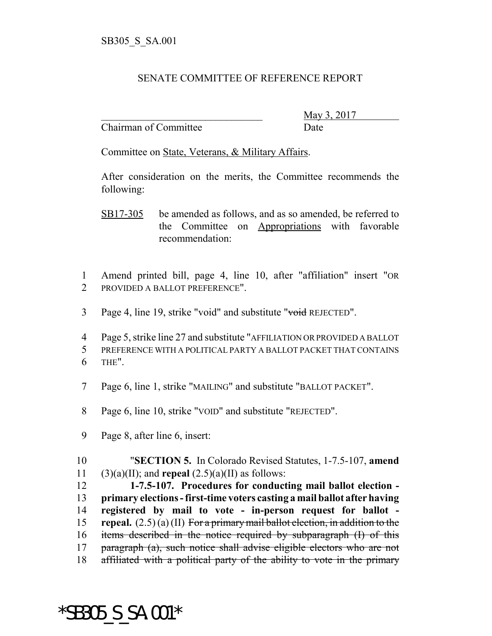## SENATE COMMITTEE OF REFERENCE REPORT

Chairman of Committee Date

\_\_\_\_\_\_\_\_\_\_\_\_\_\_\_\_\_\_\_\_\_\_\_\_\_\_\_\_\_\_\_ May 3, 2017

Committee on State, Veterans, & Military Affairs.

After consideration on the merits, the Committee recommends the following:

- SB17-305 be amended as follows, and as so amended, be referred to the Committee on Appropriations with favorable recommendation:
- 1 Amend printed bill, page 4, line 10, after "affiliation" insert "OR 2 PROVIDED A BALLOT PREFERENCE".
- 3 Page 4, line 19, strike "void" and substitute "void REJECTED".

4 Page 5, strike line 27 and substitute "AFFILIATION OR PROVIDED A BALLOT 5 PREFERENCE WITH A POLITICAL PARTY A BALLOT PACKET THAT CONTAINS 6 THE".

- 7 Page 6, line 1, strike "MAILING" and substitute "BALLOT PACKET".
- 8 Page 6, line 10, strike "VOID" and substitute "REJECTED".
- 9 Page 8, after line 6, insert:

10 "**SECTION 5.** In Colorado Revised Statutes, 1-7.5-107, **amend** 11 (3)(a)(II); and **repeal**  $(2.5)(a)(II)$  as follows:

 **1-7.5-107. Procedures for conducting mail ballot election - primary elections - first-time voters casting a mail ballot after having registered by mail to vote - in-person request for ballot - repeal.** (2.5) (a) (II) For a primary mail ballot election, in addition to the items described in the notice required by subparagraph (I) of this paragraph (a), such notice shall advise eligible electors who are not 18 affiliated with a political party of the ability to vote in the primary

\*SB305\_S\_SA.001\*